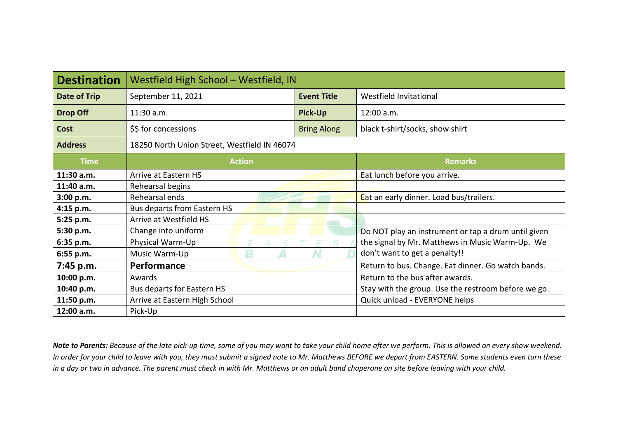| <b>Destination</b>  | Westfield High School - Westfield, IN        |  |                                                     |  |  |
|---------------------|----------------------------------------------|--|-----------------------------------------------------|--|--|
| <b>Date of Trip</b> | September 11, 2021<br><b>Event Title</b>     |  | Westfield Invitational                              |  |  |
| <b>Drop Off</b>     | <b>Pick-Up</b><br>$11:30$ a.m.               |  | $12:00$ a.m.                                        |  |  |
| Cost                | \$\$ for concessions<br><b>Bring Along</b>   |  | black t-shirt/socks, show shirt                     |  |  |
| <b>Address</b>      | 18250 North Union Street, Westfield IN 46074 |  |                                                     |  |  |
| <b>Time</b>         | <b>Action</b>                                |  | <b>Remarks</b>                                      |  |  |
| 11:30 a.m.          | Arrive at Eastern HS                         |  | Eat lunch before you arrive.                        |  |  |
| 11:40 a.m.          | Rehearsal begins                             |  |                                                     |  |  |
| 3:00 p.m.           | Rehearsal ends                               |  | Eat an early dinner. Load bus/trailers.             |  |  |
| 4:15 p.m.           | <b>Bus departs from Eastern HS</b>           |  |                                                     |  |  |
| 5:25 p.m.           | Arrive at Westfield HS                       |  |                                                     |  |  |
| 5:30 p.m.           | Change into uniform                          |  | Do NOT play an instrument or tap a drum until given |  |  |
| 6:35 p.m.           | Physical Warm-Up                             |  | the signal by Mr. Matthews in Music Warm-Up. We     |  |  |
| 6:55 p.m.           | Music Warm-Up                                |  | don't want to get a penalty!!                       |  |  |
| 7:45 p.m.           | Performance                                  |  | Return to bus. Change. Eat dinner. Go watch bands.  |  |  |
| 10:00 p.m.          | Awards                                       |  | Return to the bus after awards.                     |  |  |
| 10:40 p.m.          | Bus departs for Eastern HS                   |  | Stay with the group. Use the restroom before we go. |  |  |
| 11:50 p.m.          | Arrive at Eastern High School                |  | Quick unload - EVERYONE helps                       |  |  |
| 12:00 a.m.          | Pick-Up                                      |  |                                                     |  |  |

*Note to Parents: Because of the late pick-up time, some of you may want to take your child home after we perform. This is allowed on every show weekend. In order for your child to leave with you, they must submit a signed note to Mr. Matthews BEFORE we depart from EASTERN. Some students even turn these in a day or two in advance. The parent must check in with Mr. Matthews or an adult band chaperone on site before leaving with your child.*